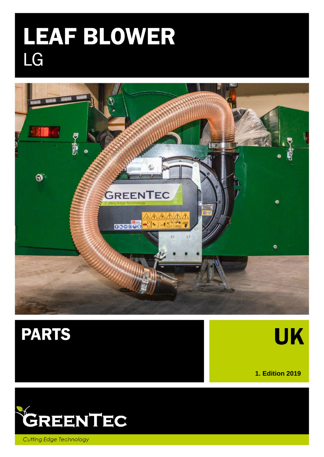# **LEAF BLOWER**<br>LG





**UK** 

**1. Edition 2019**



**Cutting Edge Technology**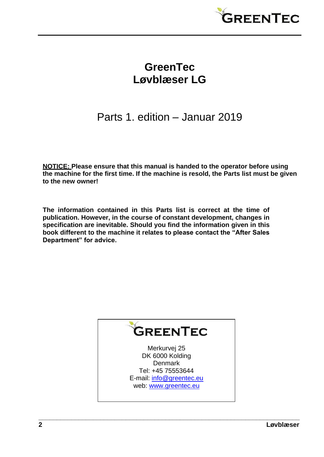

## **GreenTec Løvblæser LG**

## Parts 1. edition – Januar 2019

**NOTICE: Please ensure that this manual is handed to the operator before using the machine for the first time. If the machine is resold, the Parts list must be given to the new owner!**

**The information contained in this Parts list is correct at the time of publication. However, in the course of constant development, changes in specification are inevitable. Should you find the information given in this book different to the machine it relates to please contact the "After Sales Department" for advice.**



Merkurvej 25 DK 6000 Kolding **Denmark** Tel: +45 75553644 E-mail: [info@greentec.eu](mailto:info@greentec.eu)  web: [www.greentec.eu](http://www.greentec.eu/)

**\_\_\_\_\_\_\_\_\_\_\_\_\_\_\_\_\_\_\_\_\_\_\_\_\_\_\_\_\_\_\_\_\_\_\_\_\_\_\_\_\_\_\_\_\_\_\_\_\_\_\_\_\_\_\_\_\_\_\_\_\_\_\_\_\_\_\_\_\_\_\_\_**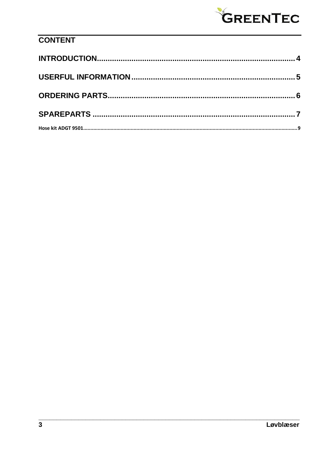

### **CONTENT**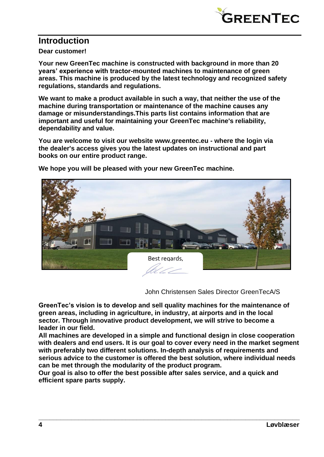

#### <span id="page-3-0"></span>**Introduction**

**Dear customer!**

**Your new GreenTec machine is constructed with background in more than 20 years' experience with tractor-mounted machines to maintenance of green areas. This machine is produced by the latest technology and recognized safety regulations, standards and regulations.**

**We want to make a product available in such a way, that neither the use of the machine during transportation or maintenance of the machine causes any damage or misunderstandings.This parts list contains information that are important and useful for maintaining your GreenTec machine's reliability, dependability and value.**

**You are welcome to visit our website [www.greentec.eu](http://www.greentec.eu/) - where the login via the dealer's access gives you the latest updates on instructional and part books on our entire product range.**



**We hope you will be pleased with your new GreenTec machine.**

John Christensen Sales Director GreenTecA/S

**GreenTec's vision is to develop and sell quality machines for the maintenance of green areas, including in agriculture, in industry, at airports and in the local sector. Through innovative product development, we will strive to become a leader in our field.**

**All machines are developed in a simple and functional design in close cooperation with dealers and end users. It is our goal to cover every need in the market segment with preferably two different solutions. In-depth analysis of requirements and serious advice to the customer is offered the best solution, where individual needs can be met through the modularity of the product program.**

**\_\_\_\_\_\_\_\_\_\_\_\_\_\_\_\_\_\_\_\_\_\_\_\_\_\_\_\_\_\_\_\_\_\_\_\_\_\_\_\_\_\_\_\_\_\_\_\_\_\_\_\_\_\_\_\_\_\_\_\_\_\_\_\_\_\_\_\_\_\_\_\_**

**Our goal is also to offer the best possible after sales service, and a quick and efficient spare parts supply.**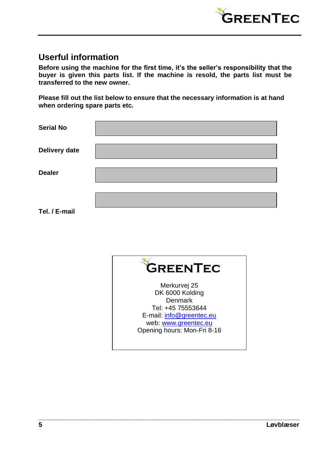

#### <span id="page-4-0"></span>**Userful information**

**Before using the machine for the first time, it's the seller's responsibility that the buyer is given this parts list. If the machine is resold, the parts list must be transferred to the new owner.**

**Please fill out the list below to ensure that the necessary information is at hand when ordering spare parts etc.**

| <b>Serial No</b> |  |
|------------------|--|
| Delivery date    |  |
| <b>Dealer</b>    |  |
| Tel. / E-mail    |  |



**\_\_\_\_\_\_\_\_\_\_\_\_\_\_\_\_\_\_\_\_\_\_\_\_\_\_\_\_\_\_\_\_\_\_\_\_\_\_\_\_\_\_\_\_\_\_\_\_\_\_\_\_\_\_\_\_\_\_\_\_\_\_\_\_\_\_\_\_\_\_\_\_**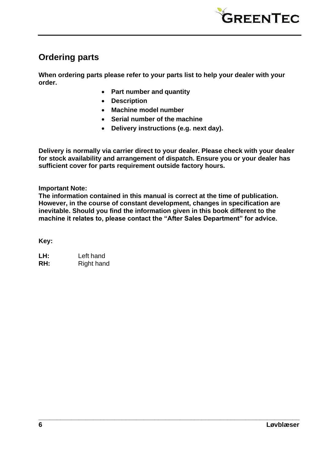

#### <span id="page-5-0"></span>**Ordering parts**

**When ordering parts please refer to your parts list to help your dealer with your order.**

- **Part number and quantity**
- **Description**
- **Machine model number**
- **Serial number of the machine**
- **Delivery instructions (e.g. next day).**

**Delivery is normally via carrier direct to your dealer. Please check with your dealer for stock availability and arrangement of dispatch. Ensure you or your dealer has sufficient cover for parts requirement outside factory hours.**

**Important Note:**

**The information contained in this manual is correct at the time of publication. However, in the course of constant development, changes in specification are inevitable. Should you find the information given in this book different to the machine it relates to, please contact the "After Sales Department" for advice.**

**\_\_\_\_\_\_\_\_\_\_\_\_\_\_\_\_\_\_\_\_\_\_\_\_\_\_\_\_\_\_\_\_\_\_\_\_\_\_\_\_\_\_\_\_\_\_\_\_\_\_\_\_\_\_\_\_\_\_\_\_\_\_\_\_\_\_\_\_\_\_\_\_**

**Key:**

**LH:** Left hand **RH:** Right hand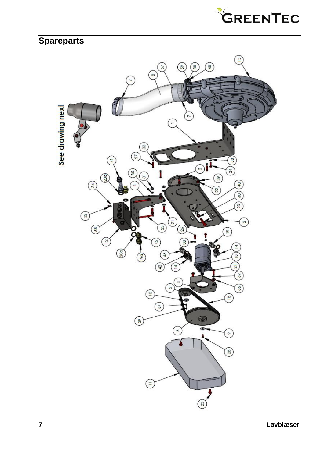

## <span id="page-6-0"></span>**Spareparts**

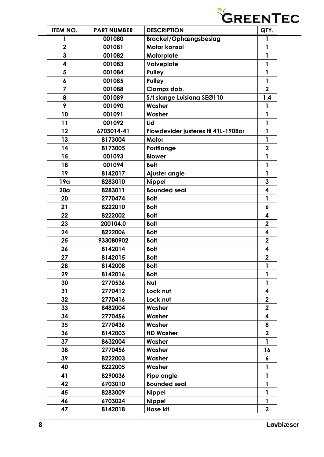

| <b>ITEM NO.</b>         | <b>PART NUMBER</b> | <b>DESCRIPTION</b>                  | QTY.                    |
|-------------------------|--------------------|-------------------------------------|-------------------------|
|                         | 001080             | <b>Bracket/Ophængsbeslag</b>        | 1                       |
| $\overline{\mathbf{2}}$ | 001081             | <b>Motor konsol</b>                 | $\mathbf{1}$            |
| 3                       | 001082             | Motorplate                          | 1                       |
| 4                       | 001083             | Valveplate                          | 1                       |
| 5                       | 001084             | <b>Pulley</b>                       | $\mathbf{1}$            |
| 6                       | 001085             | <b>Pulley</b>                       | 1                       |
| 7                       | 001088             | Clamps dob.                         | $\overline{2}$          |
| 8                       | 001089             | S/t slange Luisiana SEØ110          | 1.4                     |
| 9                       | 001090             | Washer                              | 1                       |
| 10                      | 001091             | Washer                              | 1                       |
| 11                      | 001092             | Lid                                 | $\mathbf{1}$            |
| 12                      | 6703014-41         | Flowdevider justeres til 41L-190Bar | $\mathbf{1}$            |
| 13                      | 8173004            | Motor                               | 1                       |
| 14                      | 8173005            | Portflange                          | $\overline{2}$          |
| 15                      | 001093             | <b>Blower</b>                       | 1                       |
| 18                      | 001094             | <b>Belt</b>                         | 1                       |
| 19                      | 8142017            | Ajuster angle                       | 1                       |
| 19a                     | 8283010            | <b>Nippel</b>                       | 3                       |
| 20 <sub>a</sub>         | 8283011            | <b>Bounded seal</b>                 | 4                       |
| 20                      | 2770474            | <b>Bolt</b>                         | 1                       |
| 21                      | 8222010            | <b>Bolt</b>                         | 6                       |
| 22                      | 8222002            | <b>Bolt</b>                         | 4                       |
| 23                      | 200104.0           | <b>Bolt</b>                         | $\overline{\mathbf{2}}$ |
| 24                      | 8222006            | <b>Bolt</b>                         | 4                       |
| 25                      | 933080902          | <b>Bolt</b>                         | $\overline{\mathbf{2}}$ |
| 26                      | 8142014            | <b>Bolt</b>                         | 4                       |
| 27                      | 8142015            | <b>Bolt</b>                         | $\overline{\mathbf{2}}$ |
| 28                      | 8142008            | <b>Bolt</b>                         | 1                       |
| 29                      | 8142016            | <b>Bolt</b>                         | $\mathbf{1}$            |
| 30                      | 2770536            | Nut                                 | 1                       |
| 31                      | 2770412            | Lock nut                            | 4                       |
| 32                      | 2770416            | Lock nut                            | $\overline{2}$          |
| 33                      | 8482004            | Washer                              | $\overline{\mathbf{2}}$ |
| 34                      | 2770456            | Washer                              | 4                       |
| 35                      | 2770436            | Washer                              | 8                       |
| 36                      | 8142003            | <b>HD Washer</b>                    | $\overline{2}$          |
| 37                      | 8632004            | Washer                              | 1                       |
| 38                      | 2770456            | Washer                              | 16                      |
| 39                      | 8222003            | Washer                              | 6                       |
| 40                      | 8222005            | Washer                              | 1                       |
| 41                      | 8290036            | Pipe angle                          | $\mathbf{1}$            |
| 42                      | 6703010            | <b>Bounded seal</b>                 | 1                       |
| 45                      | 8283009            | <b>Nippel</b>                       | $\mathbf{1}$            |
| 46                      | 6703024            | <b>Nippel</b>                       | 1                       |
|                         | 8142018            | <b>Hose kit</b>                     | $\mathbf 2$             |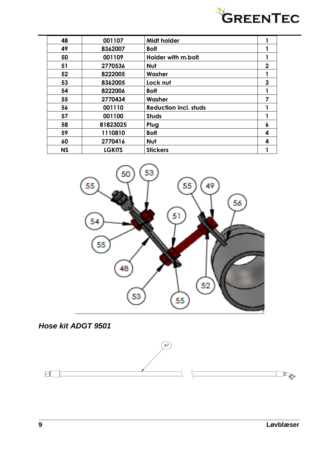

| 48        | 001107        | <b>Midt holder</b>           |             |
|-----------|---------------|------------------------------|-------------|
| 49        | 8362007       | <b>Bolt</b>                  | 1           |
| 50        | 001109        | Holder with m.bolt           |             |
| 51        | 2770536       | Nut                          | $\mathbf 2$ |
| 52        | 8222005       | Washer                       | 1           |
| 53        | 8362005       | Lock nut                     | 3           |
| 54        | 8222006       | <b>Bolt</b>                  |             |
| 55        | 2770434       | Washer                       | 7           |
| 56        | 001110        | <b>Reduction incl. studs</b> |             |
| 57        | 001100        | <b>Studs</b>                 | 1           |
| 58        | 81823025      | Plug                         | 6           |
| 59        | 1110810       | <b>Bolt</b>                  | 4           |
| 60        | 2770416       | Nut                          | 4           |
| <b>NS</b> | <b>LGKITS</b> | <b>Stickers</b>              |             |



<span id="page-8-0"></span>



**\_\_\_\_\_\_\_\_\_\_\_\_\_\_\_\_\_\_\_\_\_\_\_\_\_\_\_\_\_\_\_\_\_\_\_\_\_\_\_\_\_\_\_\_\_\_\_\_\_\_\_\_\_\_\_\_\_\_\_\_\_\_\_\_\_\_\_\_\_\_\_\_**